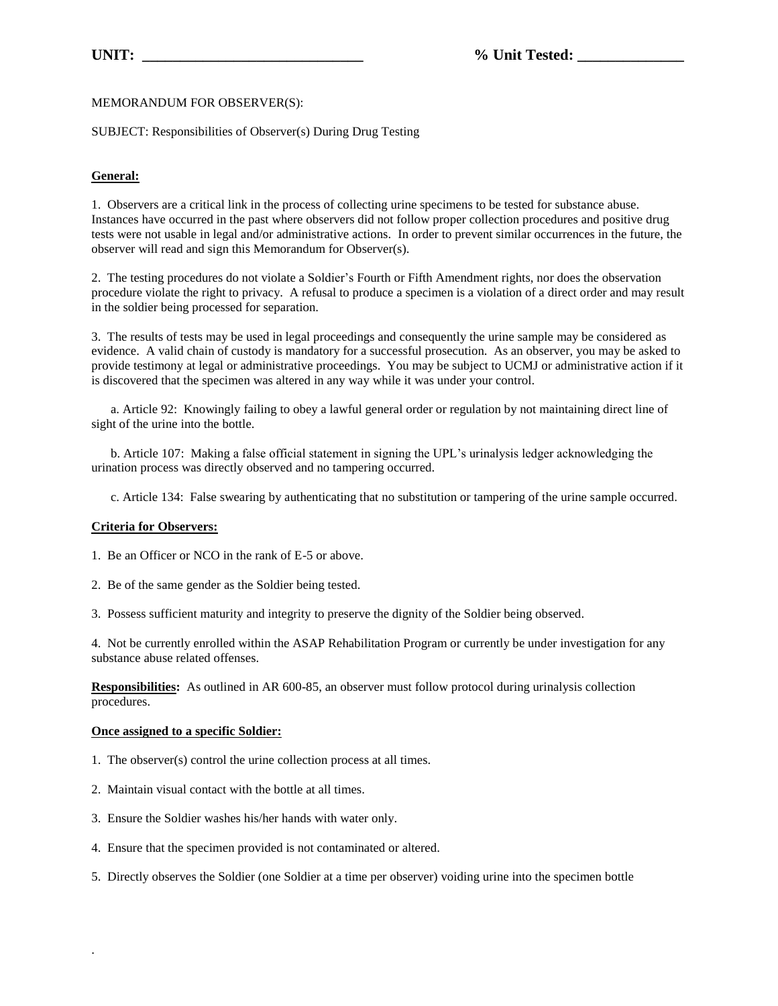MEMORANDUM FOR OBSERVER(S):

SUBJECT: Responsibilities of Observer(s) During Drug Testing

## **General:**

1. Observers are a critical link in the process of collecting urine specimens to be tested for substance abuse. Instances have occurred in the past where observers did not follow proper collection procedures and positive drug tests were not usable in legal and/or administrative actions. In order to prevent similar occurrences in the future, the observer will read and sign this Memorandum for Observer(s).

2. The testing procedures do not violate a Soldier's Fourth or Fifth Amendment rights, nor does the observation procedure violate the right to privacy. A refusal to produce a specimen is a violation of a direct order and may result in the soldier being processed for separation.

3. The results of tests may be used in legal proceedings and consequently the urine sample may be considered as evidence. A valid chain of custody is mandatory for a successful prosecution. As an observer, you may be asked to provide testimony at legal or administrative proceedings. You may be subject to UCMJ or administrative action if it is discovered that the specimen was altered in any way while it was under your control.

 a. Article 92: Knowingly failing to obey a lawful general order or regulation by not maintaining direct line of sight of the urine into the bottle.

 b. Article 107: Making a false official statement in signing the UPL's urinalysis ledger acknowledging the urination process was directly observed and no tampering occurred.

c. Article 134: False swearing by authenticating that no substitution or tampering of the urine sample occurred.

## **Criteria for Observers:**

1. Be an Officer or NCO in the rank of E-5 or above.

2. Be of the same gender as the Soldier being tested.

3. Possess sufficient maturity and integrity to preserve the dignity of the Soldier being observed.

4. Not be currently enrolled within the ASAP Rehabilitation Program or currently be under investigation for any substance abuse related offenses.

**Responsibilities:** As outlined in AR 600-85, an observer must follow protocol during urinalysis collection procedures.

## **Once assigned to a specific Soldier:**

.

- 1. The observer(s) control the urine collection process at all times.
- 2. Maintain visual contact with the bottle at all times.
- 3. Ensure the Soldier washes his/her hands with water only.
- 4. Ensure that the specimen provided is not contaminated or altered.
- 5. Directly observes the Soldier (one Soldier at a time per observer) voiding urine into the specimen bottle